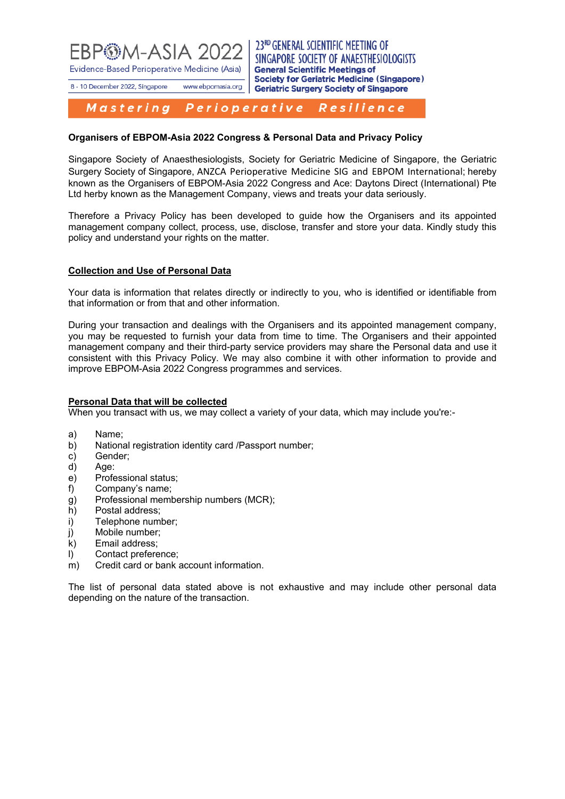

23RD GENERAL SCIENTIFIC MEETING OF SINGAPORE SOCIETY OF ANAESTHESIOLOGISTS **General Scientific Meetings of Society for Geriatric Medicine (Singapore) Geriatric Surgery Society of Singapore** 

www.ebpomasia.org 8 - 10 December 2022, Singapore

#### Mastering Perioperative Resilience

# **Organisers of EBPOM-Asia 2022 Congress & Personal Data and Privacy Policy**

Singapore Society of Anaesthesiologists, Society for Geriatric Medicine of Singapore, the Geriatric Surgery Society of Singapore, ANZCA Perioperative Medicine SIG and EBPOM International; hereby known as the Organisers of EBPOM-Asia 2022 Congress and Ace: Daytons Direct (International) Pte Ltd herby known as the Management Company, views and treats your data seriously.

Therefore a Privacy Policy has been developed to guide how the Organisers and its appointed management company collect, process, use, disclose, transfer and store your data. Kindly study this policy and understand your rights on the matter.

## **Collection and Use of Personal Data**

Your data is information that relates directly or indirectly to you, who is identified or identifiable from that information or from that and other information.

During your transaction and dealings with the Organisers and its appointed management company, you may be requested to furnish your data from time to time. The Organisers and their appointed management company and their third-party service providers may share the Personal data and use it consistent with this Privacy Policy. We may also combine it with other information to provide and improve EBPOM-Asia 2022 Congress programmes and services.

## **Personal Data that will be collected**

When you transact with us, we may collect a variety of your data, which may include you're:-

- a) Name;
- b) National registration identity card /Passport number;
- c) Gender;
- d) Age:
- e) Professional status;
- f) Company's name;
- g) Professional membership numbers (MCR);
- h) Postal address;
- i) Telephone number;
- j) Mobile number;
- k) Email address;
- l) Contact preference;
- m) Credit card or bank account information.

The list of personal data stated above is not exhaustive and may include other personal data depending on the nature of the transaction.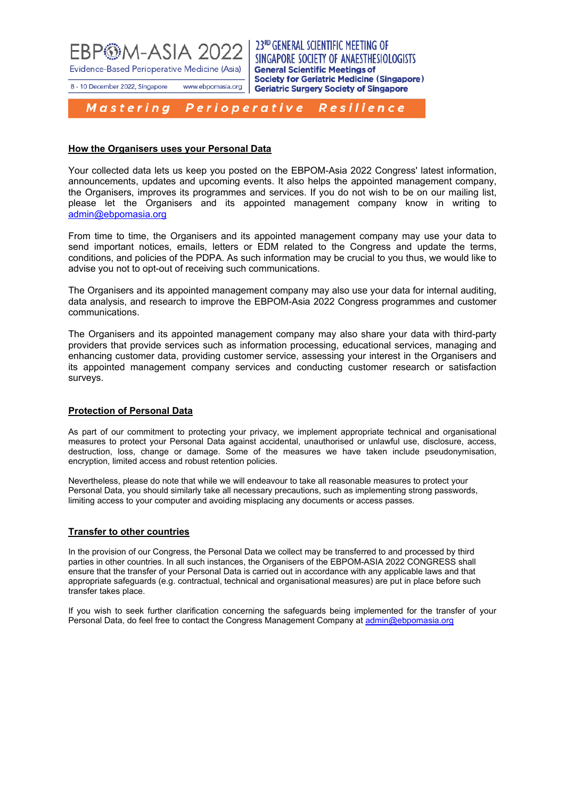

8 - 10 December 2022, Singapore

23RD GENERAL SCIENTIFIC MEETING OF SINGAPORE SOCIETY OF ANAESTHESIOLOGISTS **General Scientific Meetings of Society for Geriatric Medicine (Singapore) Geriatric Surgery Society of Singapore** 

Mastering Perioperative Resilience

www.ebpomasia.org

## **How the Organisers uses your Personal Data**

Your collected data lets us keep you posted on the EBPOM-Asia 2022 Congress' latest information, announcements, updates and upcoming events. It also helps the appointed management company, the Organisers, improves its programmes and services. If you do not wish to be on our mailing list, please let the Organisers and its appointed management company know in writing to [admin@ebpomasia.org](mailto:admin@ebpomasia.org) 

From time to time, the Organisers and its appointed management company may use your data to send important notices, emails, letters or EDM related to the Congress and update the terms, conditions, and policies of the PDPA. As such information may be crucial to you thus, we would like to advise you not to opt-out of receiving such communications.

The Organisers and its appointed management company may also use your data for internal auditing, data analysis, and research to improve the EBPOM-Asia 2022 Congress programmes and customer communications.

The Organisers and its appointed management company may also share your data with third-party providers that provide services such as information processing, educational services, managing and enhancing customer data, providing customer service, assessing your interest in the Organisers and its appointed management company services and conducting customer research or satisfaction surveys.

# **Protection of Personal Data**

As part of our commitment to protecting your privacy, we implement appropriate technical and organisational measures to protect your Personal Data against accidental, unauthorised or unlawful use, disclosure, access, destruction, loss, change or damage. Some of the measures we have taken include pseudonymisation, encryption, limited access and robust retention policies.

Nevertheless, please do note that while we will endeavour to take all reasonable measures to protect your Personal Data, you should similarly take all necessary precautions, such as implementing strong passwords, limiting access to your computer and avoiding misplacing any documents or access passes.

## **Transfer to other countries**

In the provision of our Congress, the Personal Data we collect may be transferred to and processed by third parties in other countries. In all such instances, the Organisers of the EBPOM-ASIA 2022 CONGRESS shall ensure that the transfer of your Personal Data is carried out in accordance with any applicable laws and that appropriate safeguards (e.g. contractual, technical and organisational measures) are put in place before such transfer takes place.

If you wish to seek further clarification concerning the safeguards being implemented for the transfer of your Personal Data, do feel free to contact the Congress Management Company at [admin@ebpomasia.org](mailto:admin@ebpomasia.org)